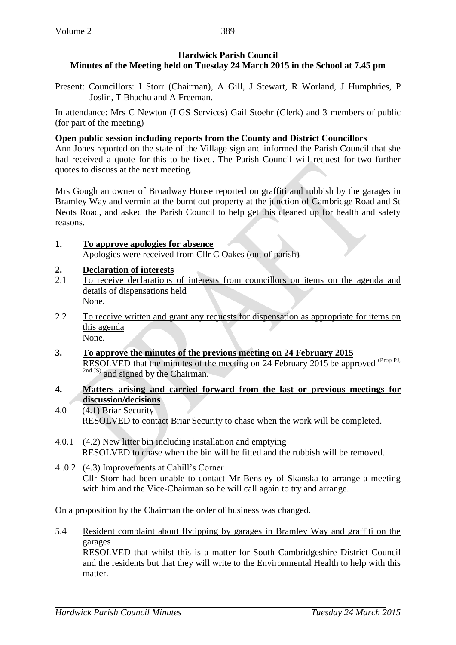# **Hardwick Parish Council Minutes of the Meeting held on Tuesday 24 March 2015 in the School at 7.45 pm**

Present: Councillors: I Storr (Chairman), A Gill, J Stewart, R Worland, J Humphries, P Joslin, T Bhachu and A Freeman.

In attendance: Mrs C Newton (LGS Services) Gail Stoehr (Clerk) and 3 members of public (for part of the meeting)

# **Open public session including reports from the County and District Councillors**

Ann Jones reported on the state of the Village sign and informed the Parish Council that she had received a quote for this to be fixed. The Parish Council will request for two further quotes to discuss at the next meeting.

Mrs Gough an owner of Broadway House reported on graffiti and rubbish by the garages in Bramley Way and vermin at the burnt out property at the junction of Cambridge Road and St Neots Road, and asked the Parish Council to help get this cleaned up for health and safety reasons.

### **1. To approve apologies for absence** Apologies were received from Cllr C Oakes (out of parish)

# **2. Declaration of interests**

- 2.1 To receive declarations of interests from councillors on items on the agenda and details of dispensations held None.
- 2.2 To receive written and grant any requests for dispensation as appropriate for items on this agenda None.
- **3. To approve the minutes of the previous meeting on 24 February 2015** RESOLVED that the minutes of the meeting on 24 February 2015 be approved <sup>(Prop PJ,</sup> <sup>2nd JS)</sup> and signed by the Chairman.
- **4. Matters arising and carried forward from the last or previous meetings for discussion/decisions**
- 4.0 (4.1) Briar Security RESOLVED to contact Briar Security to chase when the work will be completed.
- 4.0.1 (4.2) New litter bin including installation and emptying RESOLVED to chase when the bin will be fitted and the rubbish will be removed.
- 4..0.2 (4.3) Improvements at Cahill's Corner Cllr Storr had been unable to contact Mr Bensley of Skanska to arrange a meeting with him and the Vice-Chairman so he will call again to try and arrange.

On a proposition by the Chairman the order of business was changed.

5.4 Resident complaint about flytipping by garages in Bramley Way and graffiti on the garages

RESOLVED that whilst this is a matter for South Cambridgeshire District Council and the residents but that they will write to the Environmental Health to help with this matter.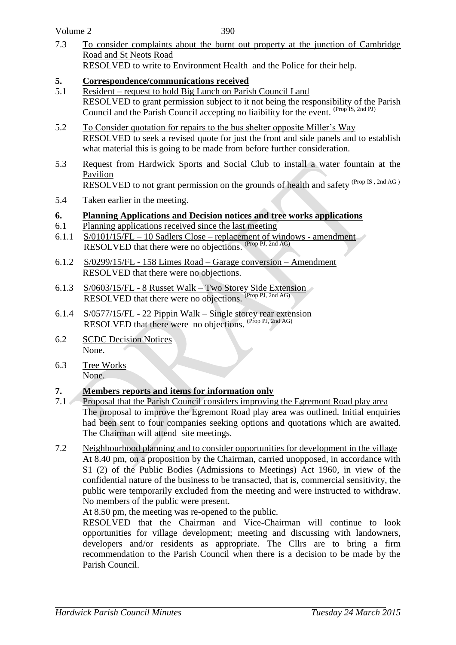| Volume 2 |  |
|----------|--|
|----------|--|

390

- 7.3 To consider complaints about the burnt out property at the junction of Cambridge Road and St Neots Road RESOLVED to write to Environment Health and the Police for their help.
- **5. Correspondence/communications received**
- 5.1 Resident request to hold Big Lunch on Parish Council Land RESOLVED to grant permission subject to it not being the responsibility of the Parish Council and the Parish Council accepting no liaibility for the event. <sup>(Prop IS, 2nd PJ)</sup>
- 5.2 To Consider quotation for repairs to the bus shelter opposite Miller's Way RESOLVED to seek a revised quote for just the front and side panels and to establish what material this is going to be made from before further consideration.
- 5.3 Request from Hardwick Sports and Social Club to install a water fountain at the Pavilion RESOLVED to not grant permission on the grounds of health and safety (Prop IS , 2nd AG )
- 5.4 Taken earlier in the meeting.

### **6. Planning Applications and Decision notices and tree works applications**

- 6.1 Planning applications received since the last meeting
- 6.1.1 S/0101/15/FL 10 Sadlers Close replacement of windows amendment RESOLVED that there were no objections. (Prop PJ, 2nd AG)
- 6.1.2 S/0299/15/FL 158 Limes Road Garage conversion Amendment RESOLVED that there were no objections.
- 6.1.3 S/0603/15/FL 8 Russet Walk Two Storey Side Extension RESOLVED that there were no objections. (Prop PJ, 2nd AG)
- 6.1.4 S/0577/15/FL 22 Pippin Walk Single storey rear extension RESOLVED that there were no objections. (Prop PJ, 2nd AG)
- 6.2 SCDC Decision Notices None.
- 6.3 Tree Works None.

### **7. Members reports and items for information only**

- 7.1 Proposal that the Parish Council considers improving the Egremont Road play area The proposal to improve the Egremont Road play area was outlined. Initial enquiries had been sent to four companies seeking options and quotations which are awaited. The Chairman will attend site meetings.
- 7.2 Neighbourhood planning and to consider opportunities for development in the village At 8.40 pm, on a proposition by the Chairman, carried unopposed, in accordance with S1 (2) of the Public Bodies (Admissions to Meetings) Act 1960, in view of the confidential nature of the business to be transacted, that is, commercial sensitivity, the public were temporarily excluded from the meeting and were instructed to withdraw. No members of the public were present.

At 8.50 pm, the meeting was re-opened to the public.

RESOLVED that the Chairman and Vice-Chairman will continue to look opportunities for village development; meeting and discussing with landowners, developers and/or residents as appropriate. The Cllrs are to bring a firm recommendation to the Parish Council when there is a decision to be made by the Parish Council.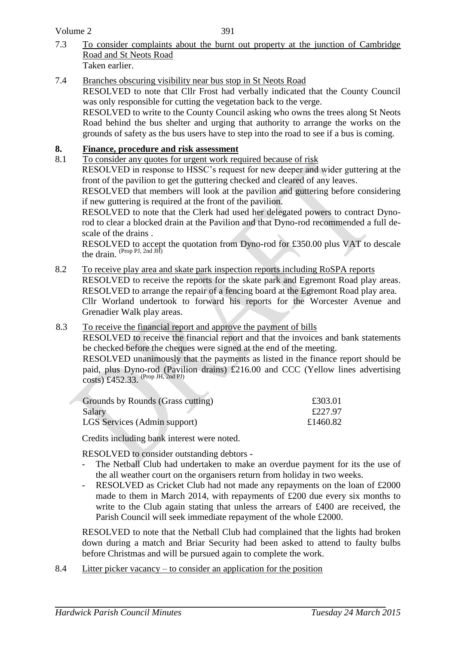Volume 2

- 7.3 To consider complaints about the burnt out property at the junction of Cambridge Road and St Neots Road Taken earlier.
- 7.4 Branches obscuring visibility near bus stop in St Neots Road

RESOLVED to note that Cllr Frost had verbally indicated that the County Council was only responsible for cutting the vegetation back to the verge.

RESOLVED to write to the County Council asking who owns the trees along St Neots Road behind the bus shelter and urging that authority to arrange the works on the grounds of safety as the bus users have to step into the road to see if a bus is coming.

### **8. Finance, procedure and risk assessment**

8.1 To consider any quotes for urgent work required because of risk

RESOLVED in response to HSSC's request for new deeper and wider guttering at the front of the pavilion to get the guttering checked and cleared of any leaves.

RESOLVED that members will look at the pavilion and guttering before considering if new guttering is required at the front of the pavilion.

RESOLVED to note that the Clerk had used her delegated powers to contract Dynorod to clear a blocked drain at the Pavilion and that Dyno-rod recommended a full descale of the drains .

RESOLVED to accept the quotation from Dyno-rod for £350.00 plus VAT to descale the drain. (Prop PJ, 2nd JH)

8.2 To receive play area and skate park inspection reports including RoSPA reports

RESOLVED to receive the reports for the skate park and Egremont Road play areas. RESOLVED to arrange the repair of a fencing board at the Egremont Road play area.

Cllr Worland undertook to forward his reports for the Worcester Avenue and Grenadier Walk play areas.

8.3 To receive the financial report and approve the payment of bills

RESOLVED to receive the financial report and that the invoices and bank statements be checked before the cheques were signed at the end of the meeting.

RESOLVED unanimously that the payments as listed in the finance report should be paid, plus Dyno-rod (Pavilion drains) £216.00 and CCC (Yellow lines advertising  $\csc$  (Eq. (1 av II)<br> $\csc$  (Prop JH, 2nd PJ)

| Grounds by Rounds (Grass cutting) | £303.01  |
|-----------------------------------|----------|
| Salary                            | £227.97  |
| LGS Services (Admin support)      | £1460.82 |

Credits including bank interest were noted.

RESOLVED to consider outstanding debtors -

- The Netball Club had undertaken to make an overdue payment for its the use of the all weather court on the organisers return from holiday in two weeks.
- RESOLVED as Cricket Club had not made any repayments on the loan of £2000 made to them in March 2014, with repayments of £200 due every six months to write to the Club again stating that unless the arrears of £400 are received, the Parish Council will seek immediate repayment of the whole £2000.

RESOLVED to note that the Netball Club had complained that the lights had broken down during a match and Briar Security had been asked to attend to faulty bulbs before Christmas and will be pursued again to complete the work.

8.4 Litter picker vacancy – to consider an application for the position